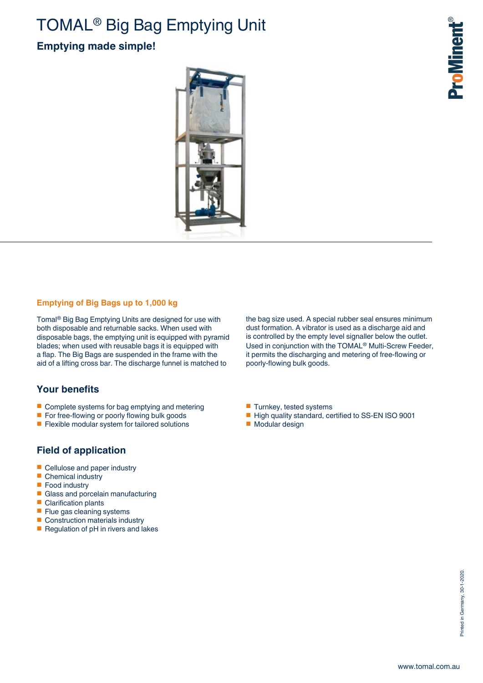# TOMAL® Big Bag Emptying Unit

## **Emptying made simple!**



#### **Emptying of Big Bags up to 1,000 kg**

Tomal® Big Bag Emptying Units are designed for use with both disposable and returnable sacks. When used with disposable bags, the emptying unit is equipped with pyramid blades; when used with reusable bags it is equipped with a flap. The Big Bags are suspended in the frame with the aid of a lifting cross bar. The discharge funnel is matched to

### **Your benefits**

- Complete systems for bag emptying and metering
- For free-flowing or poorly flowing bulk goods
- Flexible modular system for tailored solutions

#### **Field of application**

- Cellulose and paper industry
- Chemical industry<br>■ Food industry
- Food industry<br>■ Glass and por
- Glass and porcelain manufacturing<br>■ Clarification plants
- Clarification plants<br>■ Flue gas cleanings
- Flue gas cleaning systems<br>■ Construction materials indu
- Construction materials industry
- Regulation of pH in rivers and lakes

the bag size used. A special rubber seal ensures minimum dust formation. A vibrator is used as a discharge aid and is controlled by the empty level signaller below the outlet. Used in conjunction with the TOMAL® Multi-Screw Feeder, it permits the discharging and metering of free-flowing or poorly-flowing bulk goods.

- Turnkey, tested systems
- High quality standard, certified to SS-EN ISO 9001
- Modular design

**ProMinent®**